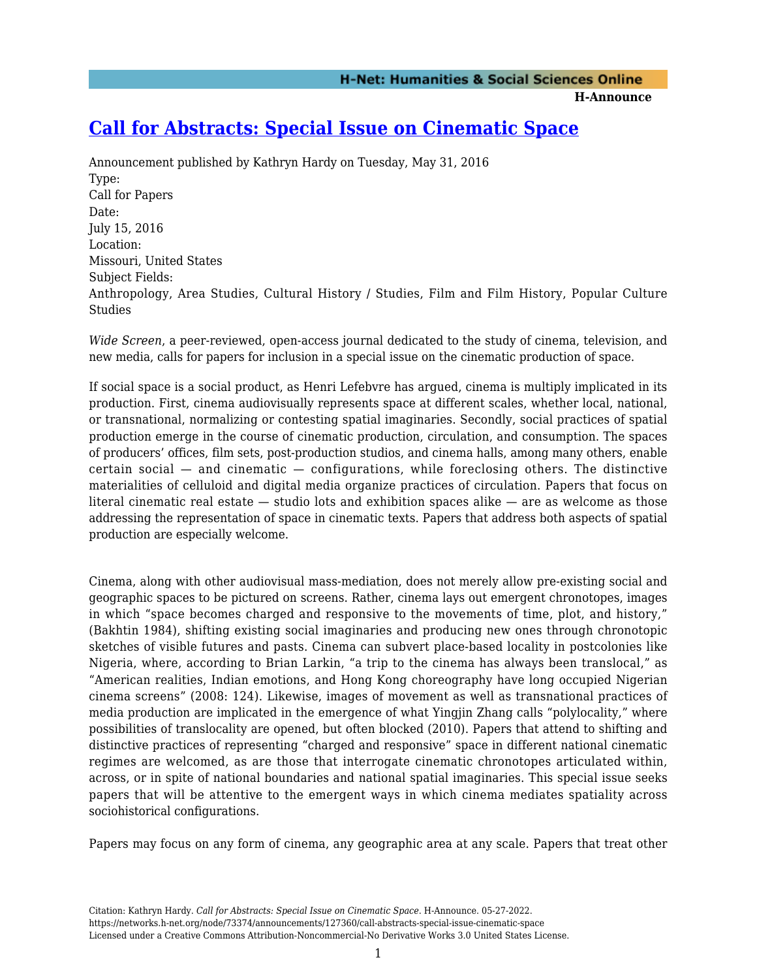**H-Announce** 

## **[Call for Abstracts: Special Issue on Cinematic Space](https://networks.h-net.org/node/73374/announcements/127360/call-abstracts-special-issue-cinematic-space)**

Announcement published by Kathryn Hardy on Tuesday, May 31, 2016 Type: Call for Papers Date: July 15, 2016 Location: Missouri, United States Subject Fields: Anthropology, Area Studies, Cultural History / Studies, Film and Film History, Popular Culture Studies

*Wide Screen*, a peer-reviewed, open-access journal dedicated to the study of cinema, television, and new media, calls for papers for inclusion in a special issue on the cinematic production of space.

If social space is a social product, as Henri Lefebvre has argued, cinema is multiply implicated in its production. First, cinema audiovisually represents space at different scales, whether local, national, or transnational, normalizing or contesting spatial imaginaries. Secondly, social practices of spatial production emerge in the course of cinematic production, circulation, and consumption. The spaces of producers' offices, film sets, post-production studios, and cinema halls, among many others, enable certain social  $-$  and cinematic  $-$  configurations, while foreclosing others. The distinctive materialities of celluloid and digital media organize practices of circulation. Papers that focus on literal cinematic real estate  $-$  studio lots and exhibition spaces alike  $-$  are as welcome as those addressing the representation of space in cinematic texts. Papers that address both aspects of spatial production are especially welcome.

Cinema, along with other audiovisual mass-mediation, does not merely allow pre-existing social and geographic spaces to be pictured on screens. Rather, cinema lays out emergent chronotopes, images in which "space becomes charged and responsive to the movements of time, plot, and history," (Bakhtin 1984), shifting existing social imaginaries and producing new ones through chronotopic sketches of visible futures and pasts. Cinema can subvert place-based locality in postcolonies like Nigeria, where, according to Brian Larkin, "a trip to the cinema has always been translocal," as "American realities, Indian emotions, and Hong Kong choreography have long occupied Nigerian cinema screens" (2008: 124). Likewise, images of movement as well as transnational practices of media production are implicated in the emergence of what Yingjin Zhang calls "polylocality," where possibilities of translocality are opened, but often blocked (2010). Papers that attend to shifting and distinctive practices of representing "charged and responsive" space in different national cinematic regimes are welcomed, as are those that interrogate cinematic chronotopes articulated within, across, or in spite of national boundaries and national spatial imaginaries. This special issue seeks papers that will be attentive to the emergent ways in which cinema mediates spatiality across sociohistorical configurations.

Papers may focus on any form of cinema, any geographic area at any scale. Papers that treat other